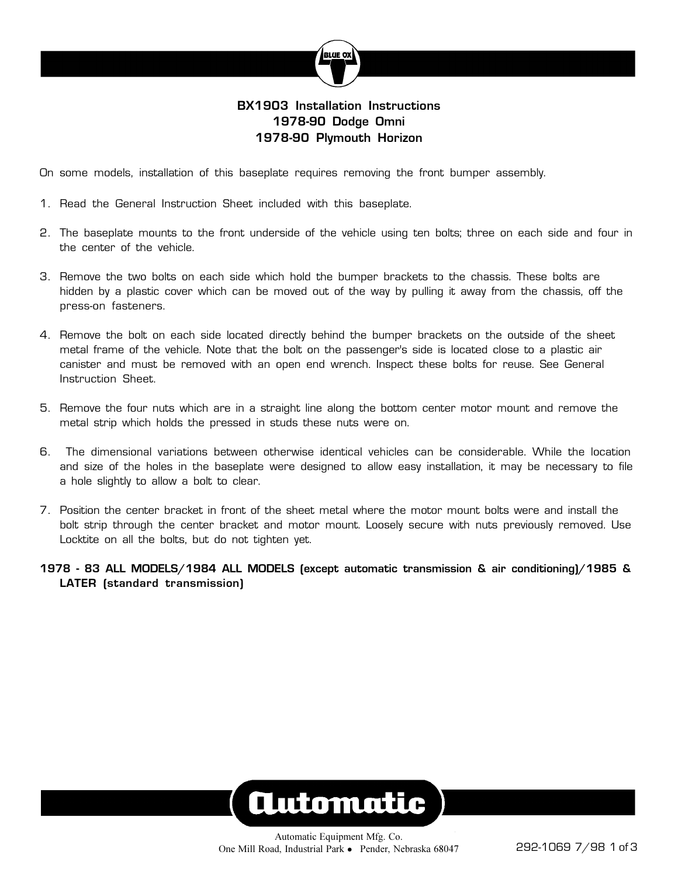

## **BX1903 Installation Instructions 1978-90 Dodge Omni 1978-90 Plymouth Horizon**

On some models, installation of this baseplate requires removing the front bumper assembly.

- 1. Read the General Instruction Sheet included with this baseplate.
- 2. The baseplate mounts to the front underside of the vehicle using ten bolts; three on each side and four in the center of the vehicle.
- 3. Remove the two bolts on each side which hold the bumper brackets to the chassis. These bolts are hidden by a plastic cover which can be moved out of the way by pulling it away from the chassis, off the press-on fasteners.
- 4. Remove the bolt on each side located directly behind the bumper brackets on the outside of the sheet metal frame of the vehicle. Note that the bolt on the passenger's side is located close to a plastic air canister and must be removed with an open end wrench. Inspect these bolts for reuse. See General Instruction Sheet.
- 5. Remove the four nuts which are in a straight line along the bottom center motor mount and remove the metal strip which holds the pressed in studs these nuts were on.
- 6. The dimensional variations between otherwise identical vehicles can be considerable. While the location and size of the holes in the baseplate were designed to allow easy installation, it may be necessary to file a hole slightly to allow a bolt to clear.
- 7. Position the center bracket in front of the sheet metal where the motor mount bolts were and install the bolt strip through the center bracket and motor mount. Loosely secure with nuts previously removed. Use Locktite on all the bolts, but do not tighten yet.
- **1978 83 ALL MODELS/1984 ALL MODELS (except automatic transmission & air conditioning)/1985 & LATER (standard transmission)**

# **Automatic**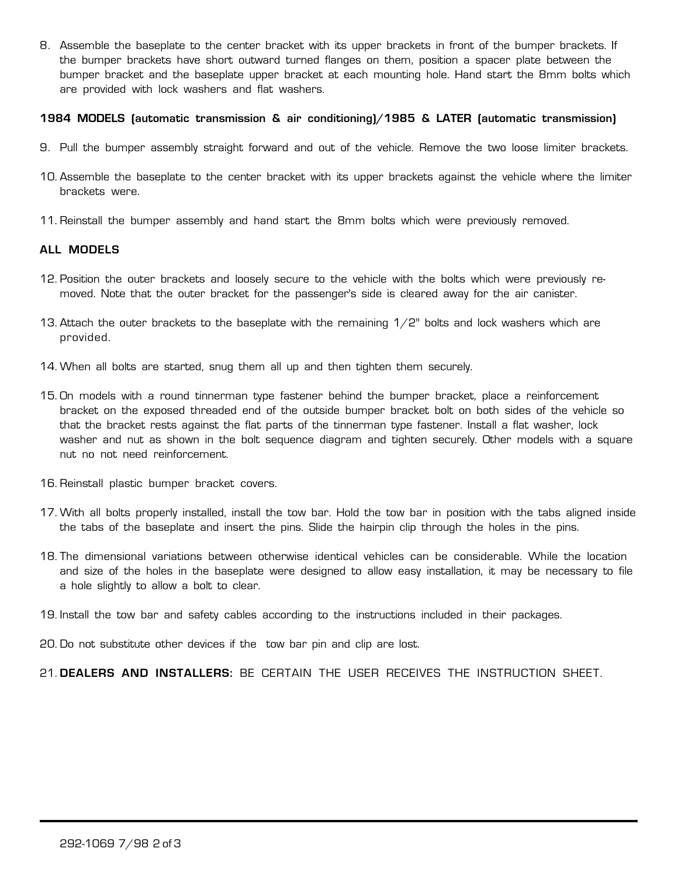8. Assemble the baseplate to the center bracket with its upper brackets in front of the bumper brackets. If the bumper brackets have short outward turned flanges on them, position a spacer plate between the bumper bracket and the baseplate upper bracket at each mounting hole. Hand start the 8mm bolts which are provided with lock washers and flat washers.

#### **1984 MODELS (automatic transmission & air conditioning)/1985 & LATER (automatic transmission)**

- 9. Pull the bumper assembly straight forward and out of the vehicle. Remove the two loose limiter brackets.
- 10. Assemble the baseplate to the center bracket with its upper brackets against the vehicle where the limiter brackets were.
- 11. Reinstall the bumper assembly and hand start the 8mm bolts which were previously removed.

#### **ALL MODELS**

- 12. Position the outer brackets and loosely secure to the vehicle with the bolts which were previously removed. Note that the outer bracket for the passenger's side is cleared away for the air canister.
- 13. Attach the outer brackets to the baseplate with the remaining  $1/2$ " bolts and lock washers which are provided.
- 14. When all bolts are started, snug them all up and then tighten them securely.
- 15. On models with a round tinnerman type fastener behind the bumper bracket, place a reinforcement bracket on the exposed threaded end of the outside bumper bracket bolt on both sides of the vehicle so that the bracket rests against the flat parts of the tinnerman type fastener. Install a flat washer, lock washer and nut as shown in the bolt sequence diagram and tighten securely. Other models with a square nut no not need reinforcement.
- 16. Reinstall plastic bumper bracket covers.
- 17. With all bolts properly installed, install the tow bar. Hold the tow bar in position with the tabs aligned inside the tabs of the baseplate and insert the pins. Slide the hairpin clip through the holes in the pins.
- 18. The dimensional variations between otherwise identical vehicles can be considerable. While the location and size of the holes in the baseplate were designed to allow easy installation, it may be necessary to file a hole slightly to allow a bolt to clear.
- 19. Install the tow bar and safety cables according to the instructions included in their packages.

20. Do not substitute other devices if the tow bar pin and clip are lost.

21. **DEALERS AND INSTALLERS:** BE CERTAIN THE USER RECEIVES THE INSTRUCTION SHEET.